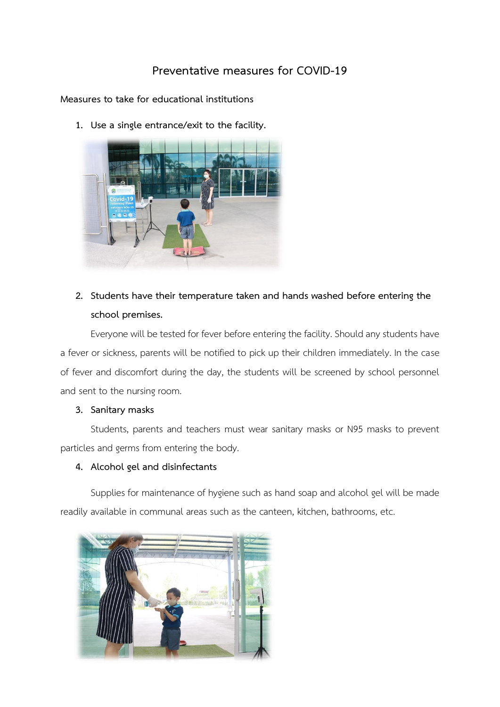# **Preventative measures for COVID-19**

**Measures to take for educational institutions**

**1. Use a single entrance/exit to the facility.** 



# **2. Students have their temperature taken and hands washed before entering the school premises.**

Everyone will be tested for fever before entering the facility. Should any students have a fever or sickness, parents will be notified to pick up their children immediately. In the case of fever and discomfort during the day, the students will be screened by school personnel and sent to the nursing room.

# **3. Sanitary masks**

Students, parents and teachers must wear sanitary masks or N95 masks to prevent particles and germs from entering the body.

# **4. Alcohol gel and disinfectants**

Supplies for maintenance of hygiene such as hand soap and alcohol gel will be made readily available in communal areas such as the canteen, kitchen, bathrooms, etc.

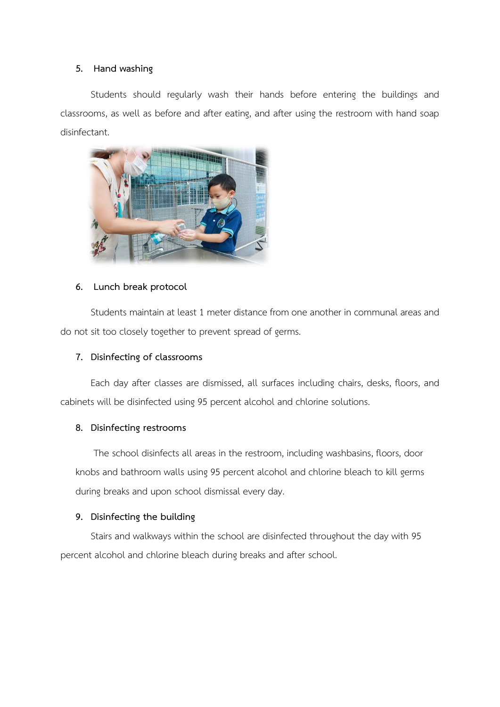#### **5. Hand washing**

Students should regularly wash their hands before entering the buildings and classrooms, as well as before and after eating, and after using the restroom with hand soap disinfectant.



#### **6. Lunch break protocol**

Students maintain at least 1 meter distance from one another in communal areas and do not sit too closely together to prevent spread of germs.

#### **7. Disinfecting of classrooms**

Each day after classes are dismissed, all surfaces including chairs, desks, floors, and cabinets will be disinfected using 95 percent alcohol and chlorine solutions.

#### **8. Disinfecting restrooms**

The school disinfects all areas in the restroom, including washbasins, floors, door knobs and bathroom walls using 95 percent alcohol and chlorine bleach to kill germs during breaks and upon school dismissal every day.

# **9. Disinfecting the building**

Stairs and walkways within the school are disinfected throughout the day with 95 percent alcohol and chlorine bleach during breaks and after school.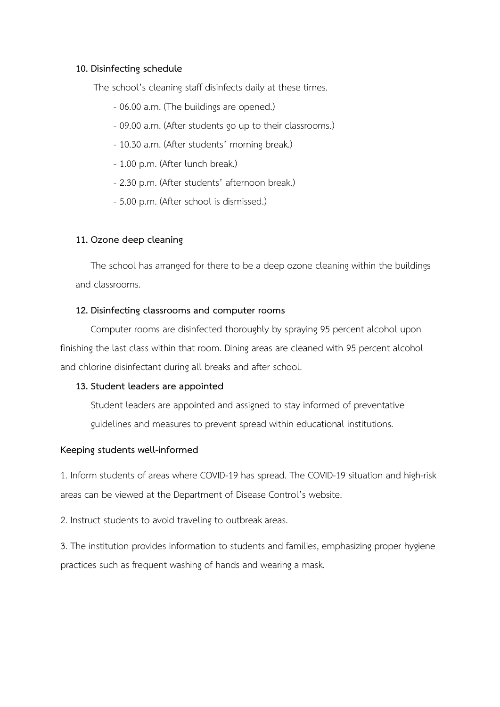#### **10. Disinfecting schedule**

The school's cleaning staff disinfects daily at these times.

- 06.00 a.m. (The buildings are opened.)
- 09.00 a.m. (After students go up to their classrooms.)
- 10.30 a.m. (After students' morning break.)
- 1.00 p.m. (After lunch break.)
- 2.30 p.m. (After students' afternoon break.)
- 5.00 p.m. (After school is dismissed.)

# **11. Ozone deep cleaning**

The school has arranged for there to be a deep ozone cleaning within the buildings and classrooms.

# **12. Disinfecting classrooms and computer rooms**

Computer rooms are disinfected thoroughly by spraying 95 percent alcohol upon finishing the last class within that room. Dining areas are cleaned with 95 percent alcohol and chlorine disinfectant during all breaks and after school.

# **13. Student leaders are appointed**

Student leaders are appointed and assigned to stay informed of preventative guidelines and measures to prevent spread within educational institutions.

# **Keeping students well-informed**

1. Inform students of areas where COVID-19 has spread. The COVID-19 situation and high-risk areas can be viewed at the Department of Disease Control's website.

2. Instruct students to avoid traveling to outbreak areas.

3. The institution provides information to students and families, emphasizing proper hygiene practices such as frequent washing of hands and wearing a mask.